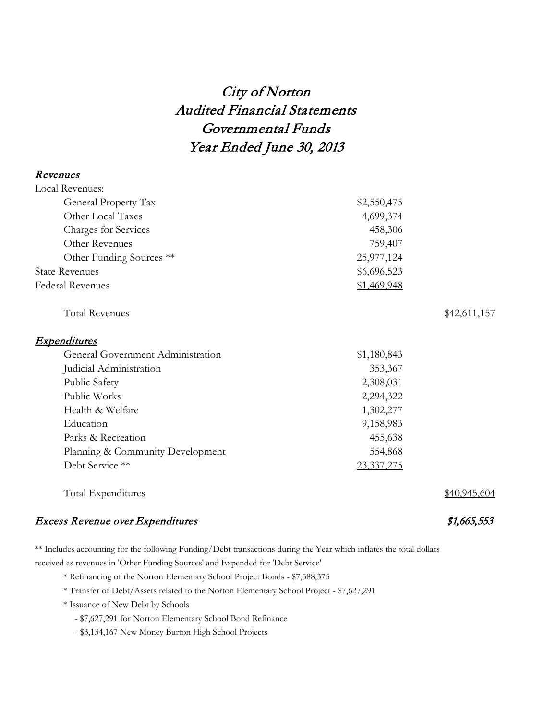# City of Norton Audited Financial Statements Governmental Funds Year Ended June 30, 2013

### Revenues

| Local Revenues:                   |             |              |
|-----------------------------------|-------------|--------------|
| General Property Tax              | \$2,550,475 |              |
| Other Local Taxes                 | 4,699,374   |              |
| <b>Charges for Services</b>       | 458,306     |              |
| Other Revenues                    | 759,407     |              |
| Other Funding Sources **          | 25,977,124  |              |
| <b>State Revenues</b>             | \$6,696,523 |              |
| <b>Federal Revenues</b>           | \$1,469,948 |              |
| <b>Total Revenues</b>             |             | \$42,611,157 |
| <b>Expenditures</b>               |             |              |
| General Government Administration | \$1,180,843 |              |
| Judicial Administration           | 353,367     |              |
| Public Safety                     | 2,308,031   |              |
| Public Works                      | 2,294,322   |              |
| Health & Welfare                  | 1,302,277   |              |
| Education                         | 9,158,983   |              |
| Parks & Recreation                | 455,638     |              |
| Planning & Community Development  | 554,868     |              |
| Debt Service **                   | 23,337,275  |              |
| Total Expenditures                |             | \$40,945,604 |
|                                   |             |              |

## Excess Revenue over Expenditures  $$1,665,553$

\*\* Includes accounting for the following Funding/Debt transactions during the Year which inflates the total dollars received as revenues in 'Other Funding Sources' and Expended for 'Debt Service'

- \* Refinancing of the Norton Elementary School Project Bonds \$7,588,375
- \* Transfer of Debt/Assets related to the Norton Elementary School Project \$7,627,291
- \* Issuance of New Debt by Schools
	- \$7,627,291 for Norton Elementary School Bond Refinance
	- \$3,134,167 New Money Burton High School Projects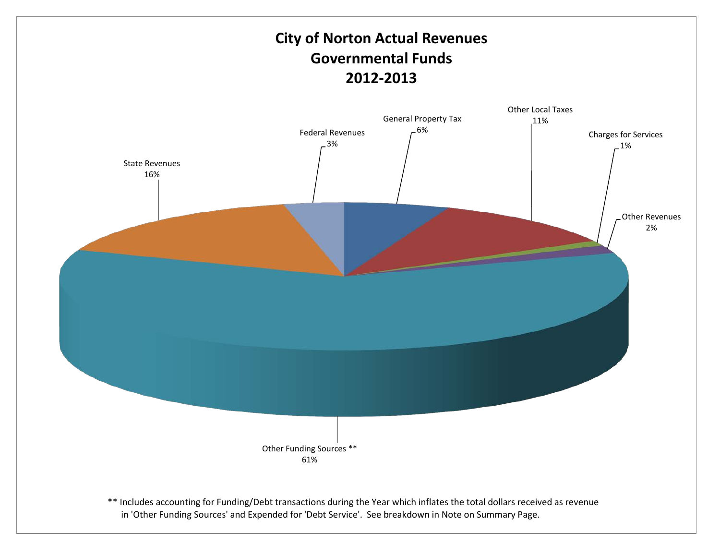